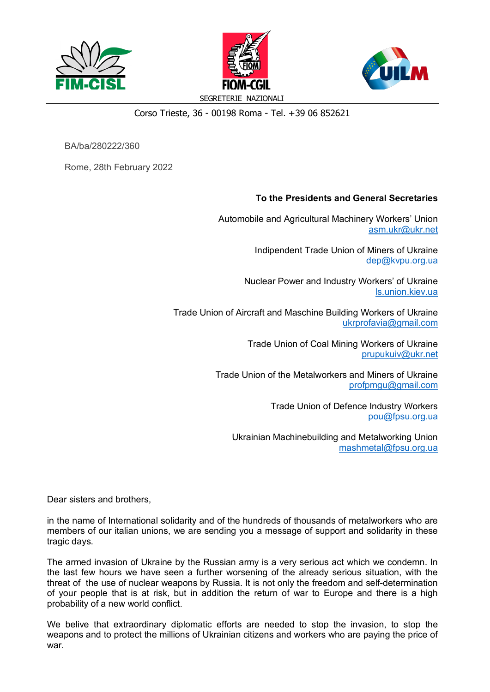



SEGRETERIE NAZIONALI

## Corso Trieste, 36 - 00198 Roma - Tel. +39 06 852621

BA/ba/280222/360

Rome, 28th February 2022

## **To the Presidents and General Secretaries**

Automobile and Agricultural Machinery Workers' Union asm.ukr@ukr.net

> Indipendent Trade Union of Miners of Ukraine dep@kvpu.org.ua

Nuclear Power and Industry Workers' of Ukraine ls.union.kiev.ua

Trade Union of Aircraft and Maschine Building Workers of Ukraine ukrprofavia@gmail.com

> Trade Union of Coal Mining Workers of Ukraine prupukuiv@ukr.net

Trade Union of the Metalworkers and Miners of Ukraine profpmgu@gmail.com

> Trade Union of Defence Industry Workers pou@fpsu.org.ua

Ukrainian Machinebuilding and Metalworking Union mashmetal@fpsu.org.ua

Dear sisters and brothers,

in the name of International solidarity and of the hundreds of thousands of metalworkers who are members of our italian unions, we are sending you a message of support and solidarity in these tragic days.

The armed invasion of Ukraine by the Russian army is a very serious act which we condemn. In the last few hours we have seen a further worsening of the already serious situation, with the threat of the use of nuclear weapons by Russia. It is not only the freedom and self-determination of your people that is at risk, but in addition the return of war to Europe and there is a high probability of a new world conflict.

We belive that extraordinary diplomatic efforts are needed to stop the invasion, to stop the weapons and to protect the millions of Ukrainian citizens and workers who are paying the price of war.